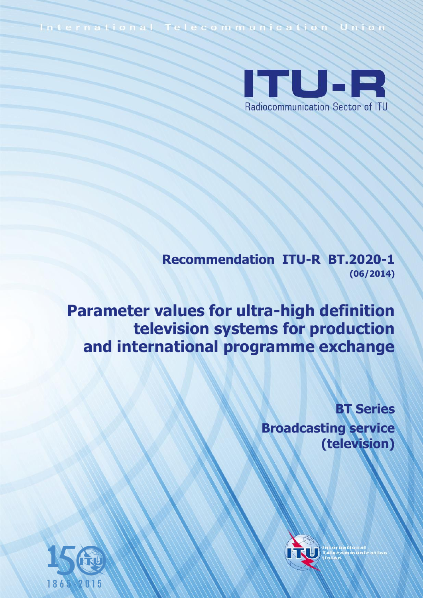International Telecommunication Union



**Recommendation ITU-R BT.2020-1 (06/2014)**

**Parameter values for ultra-high definition television systems for production and international programme exchange**

> **BT Series Broadcasting service (television)**



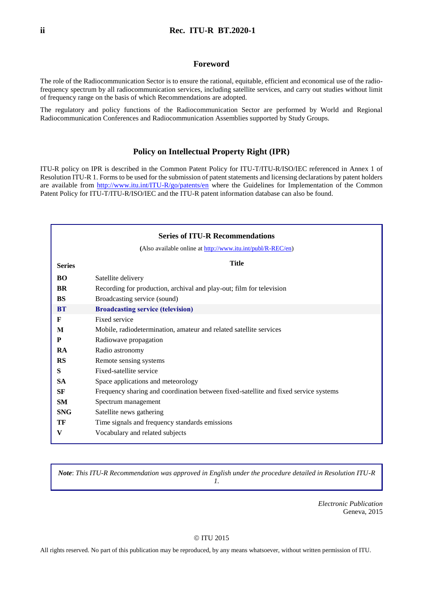#### **Foreword**

The role of the Radiocommunication Sector is to ensure the rational, equitable, efficient and economical use of the radiofrequency spectrum by all radiocommunication services, including satellite services, and carry out studies without limit of frequency range on the basis of which Recommendations are adopted.

The regulatory and policy functions of the Radiocommunication Sector are performed by World and Regional Radiocommunication Conferences and Radiocommunication Assemblies supported by Study Groups.

#### **Policy on Intellectual Property Right (IPR)**

ITU-R policy on IPR is described in the Common Patent Policy for ITU-T/ITU-R/ISO/IEC referenced in Annex 1 of Resolution ITU-R 1. Forms to be used for the submission of patent statements and licensing declarations by patent holders are available from<http://www.itu.int/ITU-R/go/patents/en> where the Guidelines for Implementation of the Common Patent Policy for ITU-T/ITU-R/ISO/IEC and the ITU-R patent information database can also be found.

|               | <b>Series of ITU-R Recommendations</b>                                               |  |  |
|---------------|--------------------------------------------------------------------------------------|--|--|
|               | (Also available online at http://www.itu.int/publ/R-REC/en)                          |  |  |
| <b>Series</b> | <b>Title</b>                                                                         |  |  |
| <b>BO</b>     | Satellite delivery                                                                   |  |  |
| <b>BR</b>     | Recording for production, archival and play-out; film for television                 |  |  |
| BS            | Broadcasting service (sound)                                                         |  |  |
| <b>BT</b>     | <b>Broadcasting service (television)</b>                                             |  |  |
| F             | Fixed service                                                                        |  |  |
| M             | Mobile, radiodetermination, amateur and related satellite services                   |  |  |
| P             | Radiowave propagation                                                                |  |  |
| <b>RA</b>     | Radio astronomy                                                                      |  |  |
| <b>RS</b>     | Remote sensing systems                                                               |  |  |
| S             | Fixed-satellite service                                                              |  |  |
| <b>SA</b>     | Space applications and meteorology                                                   |  |  |
| SF            | Frequency sharing and coordination between fixed-satellite and fixed service systems |  |  |
| <b>SM</b>     | Spectrum management                                                                  |  |  |
| <b>SNG</b>    | Satellite news gathering                                                             |  |  |
| TF            | Time signals and frequency standards emissions                                       |  |  |
| V             | Vocabulary and related subjects                                                      |  |  |

*Note*: *This ITU-R Recommendation was approved in English under the procedure detailed in Resolution ITU-R 1.*

> *Electronic Publication* Geneva, 2015

#### © ITU 2015

All rights reserved. No part of this publication may be reproduced, by any means whatsoever, without written permission of ITU.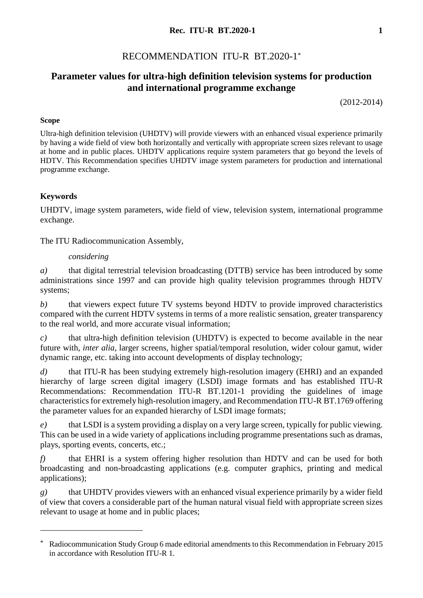## **Rec. ITU-R BT.2020-1 1**

# RECOMMENDATION ITU-R BT.2020-1\*

# **Parameter values for ultra-high definition television systems for production and international programme exchange**

(2012-2014)

## **Scope**

Ultra-high definition television (UHDTV) will provide viewers with an enhanced visual experience primarily by having a wide field of view both horizontally and vertically with appropriate screen sizes relevant to usage at home and in public places. UHDTV applications require system parameters that go beyond the levels of HDTV. This Recommendation specifies UHDTV image system parameters for production and international programme exchange.

## **Keywords**

1

UHDTV, image system parameters, wide field of view, television system, international programme exchange.

The ITU Radiocommunication Assembly,

### *considering*

*a)* that digital terrestrial television broadcasting (DTTB) service has been introduced by some administrations since 1997 and can provide high quality television programmes through HDTV systems;

*b)* that viewers expect future TV systems beyond HDTV to provide improved characteristics compared with the current HDTV systems in terms of a more realistic sensation, greater transparency to the real world, and more accurate visual information;

*c)* that ultra-high definition television (UHDTV) is expected to become available in the near future with, *inter alia*, larger screens, higher spatial/temporal resolution, wider colour gamut, wider dynamic range, etc. taking into account developments of display technology;

*d)* that ITU-R has been studying extremely high-resolution imagery (EHRI) and an expanded hierarchy of large screen digital imagery (LSDI) image formats and has established ITU-R Recommendations: Recommendation ITU-R BT.1201-1 providing the guidelines of image characteristics for extremely high-resolution imagery, and Recommendation ITU-R BT.1769 offering the parameter values for an expanded hierarchy of LSDI image formats;

*e)* that LSDI is a system providing a display on a very large screen, typically for public viewing. This can be used in a wide variety of applications including programme presentations such as dramas, plays, sporting events, concerts, etc.;

*f)* that EHRI is a system offering higher resolution than HDTV and can be used for both broadcasting and non-broadcasting applications (e.g. computer graphics, printing and medical applications);

*g)* that UHDTV provides viewers with an enhanced visual experience primarily by a wider field of view that covers a considerable part of the human natural visual field with appropriate screen sizes relevant to usage at home and in public places;

<sup>\*</sup> Radiocommunication Study Group 6 made editorial amendments to this Recommendation in February 2015 in accordance with Resolution ITU-R 1.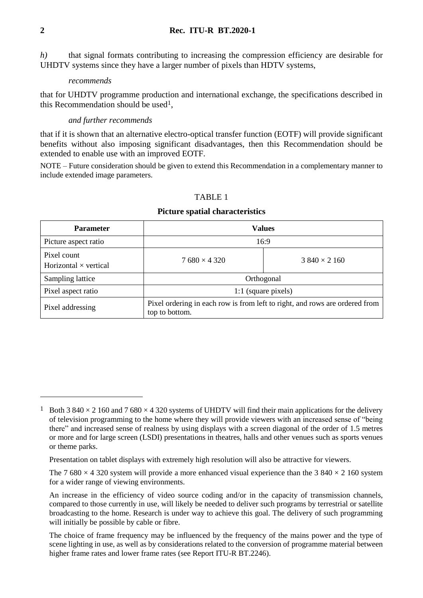*h)* that signal formats contributing to increasing the compression efficiency are desirable for UHDTV systems since they have a larger number of pixels than HDTV systems,

#### *recommends*

that for UHDTV programme production and international exchange, the specifications described in this Recommendation should be used1,

## *and further recommends*

that if it is shown that an alternative electro-optical transfer function (EOTF) will provide significant benefits without also imposing significant disadvantages, then this Recommendation should be extended to enable use with an improved EOTF.

NOTE – Future consideration should be given to extend this Recommendation in a complementary manner to include extended image parameters.

| <b>Parameter</b>                            | <b>Values</b>       |                                                                             |  |
|---------------------------------------------|---------------------|-----------------------------------------------------------------------------|--|
| Picture aspect ratio                        | 16:9                |                                                                             |  |
| Pixel count<br>Horizontal $\times$ vertical | $7680 \times 4320$  | $3840 \times 2160$                                                          |  |
| Sampling lattice                            | Orthogonal          |                                                                             |  |
| Pixel aspect ratio                          | 1:1 (square pixels) |                                                                             |  |
| Pixel addressing                            | top to bottom.      | Pixel ordering in each row is from left to right, and rows are ordered from |  |

#### TABLE 1

#### **Picture spatial characteristics**

<u>.</u>

<sup>&</sup>lt;sup>1</sup> Both 3 840  $\times$  2 160 and 7 680  $\times$  4 320 systems of UHDTV will find their main applications for the delivery of television programming to the home where they will provide viewers with an increased sense of "being there" and increased sense of realness by using displays with a screen diagonal of the order of 1.5 metres or more and for large screen (LSDI) presentations in theatres, halls and other venues such as sports venues or theme parks.

Presentation on tablet displays with extremely high resolution will also be attractive for viewers.

The 7 680  $\times$  4 320 system will provide a more enhanced visual experience than the 3 840  $\times$  2 160 system for a wider range of viewing environments.

An increase in the efficiency of video source coding and/or in the capacity of transmission channels, compared to those currently in use, will likely be needed to deliver such programs by terrestrial or satellite broadcasting to the home. Research is under way to achieve this goal. The delivery of such programming will initially be possible by cable or fibre.

The choice of frame frequency may be influenced by the frequency of the mains power and the type of scene lighting in use, as well as by considerations related to the conversion of programme material between higher frame rates and lower frame rates (see Report ITU-R BT.2246).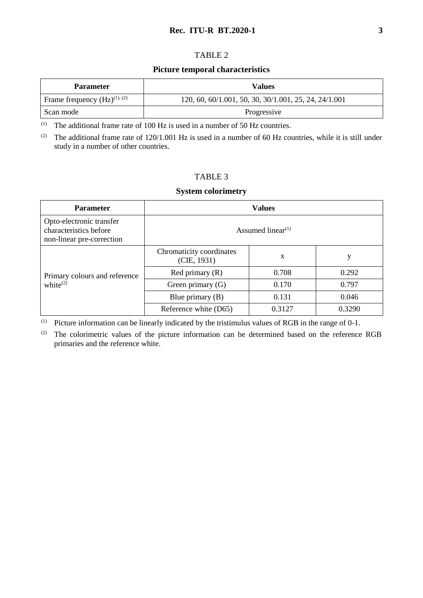## **Rec. ITU-R BT.2020-1 3**

## TABLE 2

### **Picture temporal characteristics**

| <b>Parameter</b>                  | Values                                                |
|-----------------------------------|-------------------------------------------------------|
| Frame frequency $(Hz)^{(1), (2)}$ | 120, 60, 60/1.001, 50, 30, 30/1.001, 25, 24, 24/1.001 |
| Scan mode                         | Progressive                                           |

(1) The additional frame rate of 100 Hz is used in a number of 50 Hz countries.

<sup>(2)</sup> The additional frame rate of  $120/1.001$  Hz is used in a number of 60 Hz countries, while it is still under study in a number of other countries.

## TABLE 3

## **System colorimetry**

| <b>Parameter</b>                                                                | <b>Values</b>                              |        |        |
|---------------------------------------------------------------------------------|--------------------------------------------|--------|--------|
| Opto-electronic transfer<br>characteristics before<br>non-linear pre-correction | Assumed linear <sup><math>(1)</math></sup> |        |        |
|                                                                                 | Chromaticity coordinates<br>(CIE, 1931)    | X      | у      |
| Primary colours and reference                                                   | Red primary $(R)$                          | 0.708  | 0.292  |
| white $^{(2)}$                                                                  | Green primary $(G)$                        | 0.170  | 0.797  |
|                                                                                 | Blue primary $(B)$                         | 0.131  | 0.046  |
|                                                                                 | Reference white (D65)                      | 0.3127 | 0.3290 |

(1) Picture information can be linearly indicated by the tristimulus values of RGB in the range of 0-1.

(2) The colorimetric values of the picture information can be determined based on the reference RGB primaries and the reference white.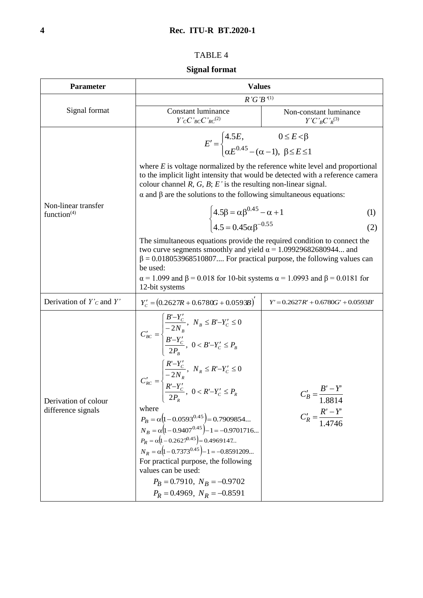# TABLE 4

# **Signal format**

| <b>Parameter</b>                           | <b>Values</b>                                                                                                                                                                                                                                                                                                                                                                                                                                                                                                                                                                                                                                                                                                               |                                                                              |  |  |
|--------------------------------------------|-----------------------------------------------------------------------------------------------------------------------------------------------------------------------------------------------------------------------------------------------------------------------------------------------------------------------------------------------------------------------------------------------------------------------------------------------------------------------------------------------------------------------------------------------------------------------------------------------------------------------------------------------------------------------------------------------------------------------------|------------------------------------------------------------------------------|--|--|
|                                            | $R'G'B'^{(1)}$                                                                                                                                                                                                                                                                                                                                                                                                                                                                                                                                                                                                                                                                                                              |                                                                              |  |  |
| Signal format                              | <b>Constant luminance</b><br>$Y'_{C}C'_{BC}C'_{RC}^{(2)}$                                                                                                                                                                                                                                                                                                                                                                                                                                                                                                                                                                                                                                                                   | Non-constant luminance<br>$Y'C'_{B}C'_{R}^{(3)}$                             |  |  |
|                                            | $E' = \begin{cases} 4.5E, & 0 \le E < \beta \\ \alpha E^{0.45} - (\alpha - 1), & \beta \le E \le 1 \end{cases}$<br>where $E$ is voltage normalized by the reference white level and proportional                                                                                                                                                                                                                                                                                                                                                                                                                                                                                                                            |                                                                              |  |  |
|                                            | to the implicit light intensity that would be detected with a reference camera<br>colour channel $R, G, B$ ; $E'$ is the resulting non-linear signal.<br>$\alpha$ and $\beta$ are the solutions to the following simultaneous equations:                                                                                                                                                                                                                                                                                                                                                                                                                                                                                    |                                                                              |  |  |
| Non-linear transfer<br>function $(4)$      |                                                                                                                                                                                                                                                                                                                                                                                                                                                                                                                                                                                                                                                                                                                             | (1)                                                                          |  |  |
|                                            | $\begin{cases} 4.5\beta = \alpha \beta^{0.45} - \alpha + 1 \\ 4.5 = 0.45 \alpha R^{-0.55} \end{cases}$                                                                                                                                                                                                                                                                                                                                                                                                                                                                                                                                                                                                                      | (2)                                                                          |  |  |
|                                            | The simultaneous equations provide the required condition to connect the<br>two curve segments smoothly and yield $\alpha$ = 1.09929682680944 and<br>$\beta$ = 0.018053968510807 For practical purpose, the following values can<br>be used:                                                                                                                                                                                                                                                                                                                                                                                                                                                                                |                                                                              |  |  |
|                                            | $\alpha$ = 1.099 and $\beta$ = 0.018 for 10-bit systems $\alpha$ = 1.0993 and $\beta$ = 0.0181 for<br>12-bit systems                                                                                                                                                                                                                                                                                                                                                                                                                                                                                                                                                                                                        |                                                                              |  |  |
| Derivation of $Y_c$ and $Y'$               | $Y'_c = (0.2627R + 0.6780G + 0.0593B)^T$                                                                                                                                                                                                                                                                                                                                                                                                                                                                                                                                                                                                                                                                                    | $Y' = 0.2627R' + 0.6780G' + 0.0593B'$                                        |  |  |
| Derivation of colour<br>difference signals | $C'_{BC} = \begin{cases} \dfrac{B'-Y'_C}{-2N_B}, \  \, N_B \le B'-Y'_C \le 0 \\ \dfrac{B'-Y'_C}{2P_B}, \  \, 0 < B'-Y'_C \le P_B \end{cases}$<br>$C'_{RC} = \begin{cases} \displaystyle \frac{R'-Y'_C}{-2N_R}, \;\; N_R \leq R'-Y'_C \leq 0 \\ \displaystyle \frac{R'-Y'_C}{2P_R}, \;\; 0 < R'-Y'_C \leq P_R \end{cases}$<br>$2P_R$<br>where<br>$P_B = \alpha (1 - 0.0593^{0.45}) = 0.7909854$<br>$N_B = \alpha \left(1 - 0.9407^{0.45}\right) - 1 = -0.9701716$<br>$P_R = \alpha \left(1 - 0.2627^{0.45}\right) = 0.4969147$<br>$N_R = \alpha (1 - 0.7373^{0.45}) - 1 = -0.8591209$<br>For practical purpose, the following<br>values can be used:<br>$P_R = 0.7910$ , $N_B = -0.9702$<br>$P_R = 0.4969$ , $N_R = -0.8591$ | $C'_B = \frac{B'-Y'}{1-\epsilon}$<br>1.8814<br>$C'_R = \frac{R'-Y'}{1.4746}$ |  |  |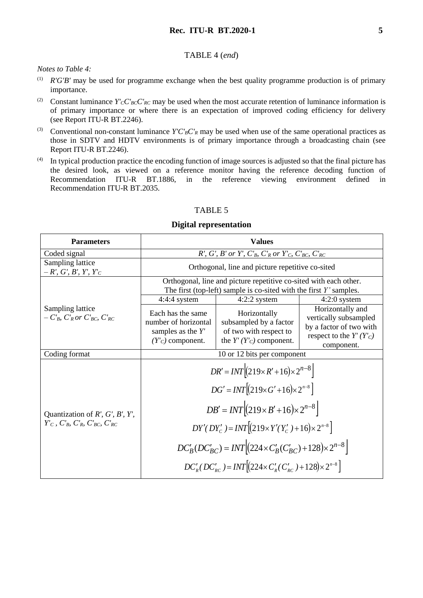## **Rec. ITU-R BT.2020-1 5**

#### TABLE 4 (*end*)

*Notes to Table 4:*

- (1) *R'G'B'* may be used for programme exchange when the best quality programme production is of primary importance.
- (2) Constant luminance  $Y'_{C}C'_{BC}C'_{RC}$  may be used when the most accurate retention of luminance information is of primary importance or where there is an expectation of improved coding efficiency for delivery (see Report ITU-R BT.2246).
- (3) Conventional non-constant luminance  $Y'C'{}_{B}C'{}_{R}$  may be used when use of the same operational practices as those in SDTV and HDTV environments is of primary importance through a broadcasting chain (see Report ITU-R BT.2246).
- $(4)$  In typical production practice the encoding function of image sources is adjusted so that the final picture has the desired look, as viewed on a reference monitor having the reference decoding function of Recommendation ITU-R BT.1886, in the reference viewing environment defined in Recommendation ITU-R BT.2035.

#### TABLE 5

#### **Digital representation**

| <b>Parameters</b>                                                                          | <b>Values</b>                                                                                                                                                                                                                                                                                                                                                                                                                                               |                                                                                               |                                                                                                                   |
|--------------------------------------------------------------------------------------------|-------------------------------------------------------------------------------------------------------------------------------------------------------------------------------------------------------------------------------------------------------------------------------------------------------------------------------------------------------------------------------------------------------------------------------------------------------------|-----------------------------------------------------------------------------------------------|-------------------------------------------------------------------------------------------------------------------|
| Coded signal                                                                               | $R'$ , $G'$ , $B'$ or $Y'$ , $C'_{B}$ , $C'_{R}$ or $Y'_{C}$ , $C'_{BC}$ , $C'_{RC}$                                                                                                                                                                                                                                                                                                                                                                        |                                                                                               |                                                                                                                   |
| Sampling lattice<br>$-R', G', B', Y', Y'_{C}$                                              | Orthogonal, line and picture repetitive co-sited                                                                                                                                                                                                                                                                                                                                                                                                            |                                                                                               |                                                                                                                   |
|                                                                                            | Orthogonal, line and picture repetitive co-sited with each other.<br>The first (top-left) sample is co-sited with the first $Y'$ samples.                                                                                                                                                                                                                                                                                                                   |                                                                                               |                                                                                                                   |
|                                                                                            | $4:4:4$ system                                                                                                                                                                                                                                                                                                                                                                                                                                              | $4:2:2$ system                                                                                | $4:2:0$ system                                                                                                    |
| Sampling lattice<br>$-CB, C'R or C'BC, C'RC$                                               | Each has the same<br>number of horizontal<br>samples as the $Y'$<br>$(Y'_{C})$ component.                                                                                                                                                                                                                                                                                                                                                                   | Horizontally<br>subsampled by a factor<br>of two with respect to<br>the $Y'(Y'_C)$ component. | Horizontally and<br>vertically subsampled<br>by a factor of two with<br>respect to the $Y'(Y'_{C})$<br>component. |
| Coding format                                                                              |                                                                                                                                                                                                                                                                                                                                                                                                                                                             | 10 or 12 bits per component                                                                   |                                                                                                                   |
| Quantization of $R'$ , $G'$ , $B'$ , $Y'$ ,<br>$Y_C$ , $C_B$ , $C_R$ , $C_{BC}$ , $C_{RC}$ | $DR' = INT \left[ (219 \times R' + 16) \times 2^{n-8} \right]$<br>$DG' = INT \left[ (219 \times G' + 16) \times 2^{n-8} \right]$<br>$DB' = INT \Big  (219 \times B' + 16) \times 2^{n-8} \Big $<br>$DY'(DY'_{c}) = INT[(219 \times Y'(Y'_{c}) + 16) \times 2^{n-8}]$<br>$DC'_{B}(DC'_{BC}) = INT \Big  (224 \times C'_{B}(C'_{BC}) + 128) \times 2^{n-8} \Big $<br>$DC'_{p}(DC'_{p}) = INT \left[ (224 \times C'_{p}(C'_{p}) + 128) \times 2^{n-8} \right]$ |                                                                                               |                                                                                                                   |